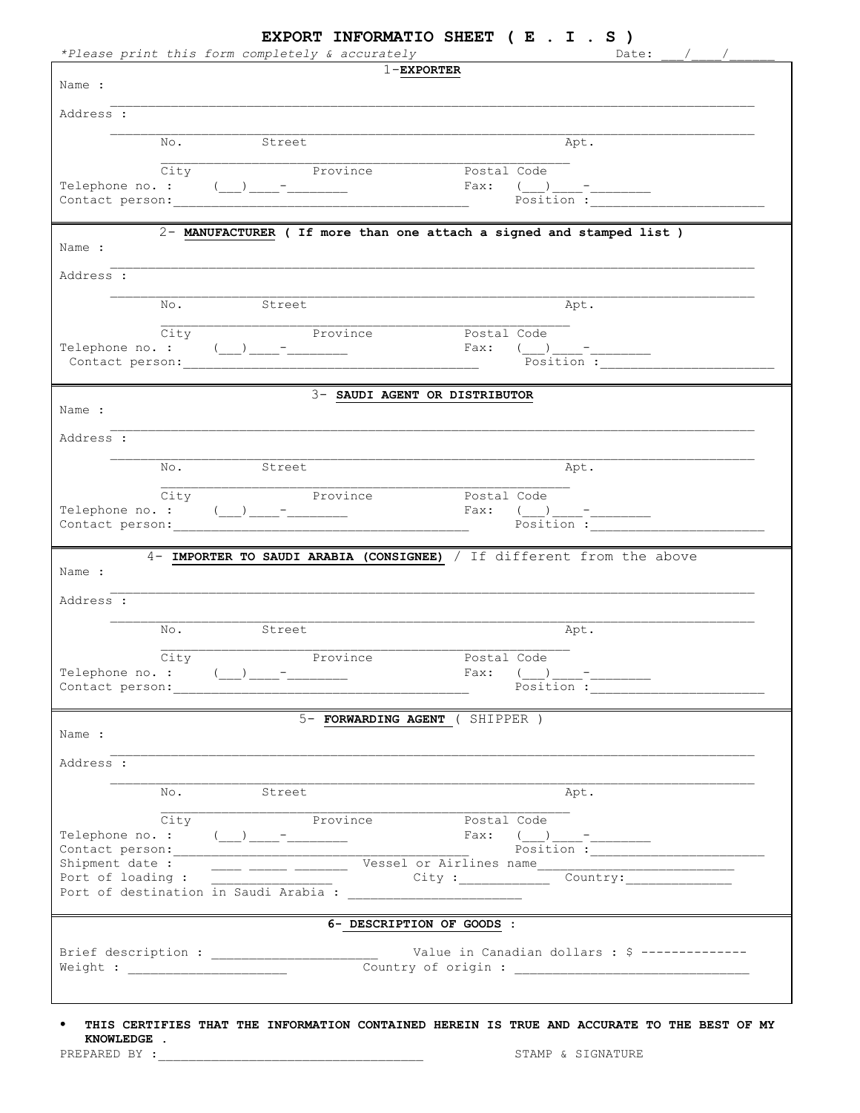| $1$ -EXPORTER<br>Address :<br>Street<br>Apt.<br>No.<br>City<br>Province<br>Postal Code<br>$\text{Fax:} \quad (\underline{\hspace{1cm}}) \underline{\hspace{1cm}}$<br>Position :<br>2- MANUFACTURER ( If more than one attach a signed and stamped list )<br>Name :<br>Address :<br>No. Street<br>Apt.<br>City<br>Province<br>Postal Code<br>Telephone no. : $(\_\_)_{\_\_ \_\_ \_\_ \_\_ \_\_ \_\_ }$<br>Fax:<br>$\frac{(-1)^{10}}{3}$<br>3- SAUDI AGENT OR DISTRIBUTOR<br>Name :<br>Address :<br>No.<br>Street<br>Apt.<br>Province<br>City<br>Postal Code<br>Position:<br>4- IMPORTER TO SAUDI ARABIA (CONSIGNEE) / If different from the above<br>Street<br>No.<br>Apt.<br>$\overline{\text{City}}$<br>Province Postal Code<br>Telephone no. : $(\_\_) \_\_$ -<br>5- FORWARDING AGENT (SHIPPER)<br>Apt.<br>No.<br>Street<br>City<br>Province<br>Postal Code<br>Shipment date: The Control of Loading: The Country: The Country: The Country:<br>6- DESCRIPTION OF GOODS :<br>Value in Canadian dollars : \$ -------------- |                                  | *Please print this form completely & accurately | Date: $/$ / |
|------------------------------------------------------------------------------------------------------------------------------------------------------------------------------------------------------------------------------------------------------------------------------------------------------------------------------------------------------------------------------------------------------------------------------------------------------------------------------------------------------------------------------------------------------------------------------------------------------------------------------------------------------------------------------------------------------------------------------------------------------------------------------------------------------------------------------------------------------------------------------------------------------------------------------------------------------------------------------------------------------------------------------|----------------------------------|-------------------------------------------------|-------------|
|                                                                                                                                                                                                                                                                                                                                                                                                                                                                                                                                                                                                                                                                                                                                                                                                                                                                                                                                                                                                                              | Name :                           |                                                 |             |
|                                                                                                                                                                                                                                                                                                                                                                                                                                                                                                                                                                                                                                                                                                                                                                                                                                                                                                                                                                                                                              |                                  |                                                 |             |
|                                                                                                                                                                                                                                                                                                                                                                                                                                                                                                                                                                                                                                                                                                                                                                                                                                                                                                                                                                                                                              |                                  |                                                 |             |
|                                                                                                                                                                                                                                                                                                                                                                                                                                                                                                                                                                                                                                                                                                                                                                                                                                                                                                                                                                                                                              |                                  |                                                 |             |
|                                                                                                                                                                                                                                                                                                                                                                                                                                                                                                                                                                                                                                                                                                                                                                                                                                                                                                                                                                                                                              |                                  |                                                 |             |
|                                                                                                                                                                                                                                                                                                                                                                                                                                                                                                                                                                                                                                                                                                                                                                                                                                                                                                                                                                                                                              |                                  |                                                 |             |
|                                                                                                                                                                                                                                                                                                                                                                                                                                                                                                                                                                                                                                                                                                                                                                                                                                                                                                                                                                                                                              |                                  |                                                 |             |
|                                                                                                                                                                                                                                                                                                                                                                                                                                                                                                                                                                                                                                                                                                                                                                                                                                                                                                                                                                                                                              |                                  |                                                 |             |
|                                                                                                                                                                                                                                                                                                                                                                                                                                                                                                                                                                                                                                                                                                                                                                                                                                                                                                                                                                                                                              |                                  |                                                 |             |
|                                                                                                                                                                                                                                                                                                                                                                                                                                                                                                                                                                                                                                                                                                                                                                                                                                                                                                                                                                                                                              |                                  |                                                 |             |
|                                                                                                                                                                                                                                                                                                                                                                                                                                                                                                                                                                                                                                                                                                                                                                                                                                                                                                                                                                                                                              |                                  |                                                 |             |
|                                                                                                                                                                                                                                                                                                                                                                                                                                                                                                                                                                                                                                                                                                                                                                                                                                                                                                                                                                                                                              |                                  |                                                 |             |
|                                                                                                                                                                                                                                                                                                                                                                                                                                                                                                                                                                                                                                                                                                                                                                                                                                                                                                                                                                                                                              |                                  |                                                 |             |
|                                                                                                                                                                                                                                                                                                                                                                                                                                                                                                                                                                                                                                                                                                                                                                                                                                                                                                                                                                                                                              |                                  |                                                 |             |
|                                                                                                                                                                                                                                                                                                                                                                                                                                                                                                                                                                                                                                                                                                                                                                                                                                                                                                                                                                                                                              |                                  |                                                 |             |
|                                                                                                                                                                                                                                                                                                                                                                                                                                                                                                                                                                                                                                                                                                                                                                                                                                                                                                                                                                                                                              |                                  |                                                 |             |
|                                                                                                                                                                                                                                                                                                                                                                                                                                                                                                                                                                                                                                                                                                                                                                                                                                                                                                                                                                                                                              |                                  |                                                 |             |
|                                                                                                                                                                                                                                                                                                                                                                                                                                                                                                                                                                                                                                                                                                                                                                                                                                                                                                                                                                                                                              |                                  |                                                 |             |
|                                                                                                                                                                                                                                                                                                                                                                                                                                                                                                                                                                                                                                                                                                                                                                                                                                                                                                                                                                                                                              |                                  |                                                 |             |
|                                                                                                                                                                                                                                                                                                                                                                                                                                                                                                                                                                                                                                                                                                                                                                                                                                                                                                                                                                                                                              |                                  |                                                 |             |
|                                                                                                                                                                                                                                                                                                                                                                                                                                                                                                                                                                                                                                                                                                                                                                                                                                                                                                                                                                                                                              | Name :                           |                                                 |             |
|                                                                                                                                                                                                                                                                                                                                                                                                                                                                                                                                                                                                                                                                                                                                                                                                                                                                                                                                                                                                                              |                                  |                                                 |             |
|                                                                                                                                                                                                                                                                                                                                                                                                                                                                                                                                                                                                                                                                                                                                                                                                                                                                                                                                                                                                                              |                                  |                                                 |             |
|                                                                                                                                                                                                                                                                                                                                                                                                                                                                                                                                                                                                                                                                                                                                                                                                                                                                                                                                                                                                                              |                                  |                                                 |             |
|                                                                                                                                                                                                                                                                                                                                                                                                                                                                                                                                                                                                                                                                                                                                                                                                                                                                                                                                                                                                                              |                                  |                                                 |             |
|                                                                                                                                                                                                                                                                                                                                                                                                                                                                                                                                                                                                                                                                                                                                                                                                                                                                                                                                                                                                                              |                                  |                                                 |             |
|                                                                                                                                                                                                                                                                                                                                                                                                                                                                                                                                                                                                                                                                                                                                                                                                                                                                                                                                                                                                                              |                                  |                                                 |             |
|                                                                                                                                                                                                                                                                                                                                                                                                                                                                                                                                                                                                                                                                                                                                                                                                                                                                                                                                                                                                                              |                                  |                                                 |             |
|                                                                                                                                                                                                                                                                                                                                                                                                                                                                                                                                                                                                                                                                                                                                                                                                                                                                                                                                                                                                                              |                                  |                                                 |             |
|                                                                                                                                                                                                                                                                                                                                                                                                                                                                                                                                                                                                                                                                                                                                                                                                                                                                                                                                                                                                                              |                                  |                                                 |             |
|                                                                                                                                                                                                                                                                                                                                                                                                                                                                                                                                                                                                                                                                                                                                                                                                                                                                                                                                                                                                                              |                                  |                                                 |             |
|                                                                                                                                                                                                                                                                                                                                                                                                                                                                                                                                                                                                                                                                                                                                                                                                                                                                                                                                                                                                                              |                                  |                                                 |             |
|                                                                                                                                                                                                                                                                                                                                                                                                                                                                                                                                                                                                                                                                                                                                                                                                                                                                                                                                                                                                                              |                                  |                                                 |             |
|                                                                                                                                                                                                                                                                                                                                                                                                                                                                                                                                                                                                                                                                                                                                                                                                                                                                                                                                                                                                                              |                                  |                                                 |             |
|                                                                                                                                                                                                                                                                                                                                                                                                                                                                                                                                                                                                                                                                                                                                                                                                                                                                                                                                                                                                                              |                                  |                                                 |             |
|                                                                                                                                                                                                                                                                                                                                                                                                                                                                                                                                                                                                                                                                                                                                                                                                                                                                                                                                                                                                                              |                                  |                                                 |             |
|                                                                                                                                                                                                                                                                                                                                                                                                                                                                                                                                                                                                                                                                                                                                                                                                                                                                                                                                                                                                                              | Address :<br>Name :<br>Address : |                                                 |             |
|                                                                                                                                                                                                                                                                                                                                                                                                                                                                                                                                                                                                                                                                                                                                                                                                                                                                                                                                                                                                                              |                                  |                                                 |             |

|  |                  |  | THIS CERTIFIES THAT THE INFORMATION CONTAINED HEREIN IS TRUE AND ACCURATE TO THE BEST OF MY |  |  |  |  |  |  |
|--|------------------|--|---------------------------------------------------------------------------------------------|--|--|--|--|--|--|
|  | <b>KNOWLEDGE</b> |  |                                                                                             |  |  |  |  |  |  |